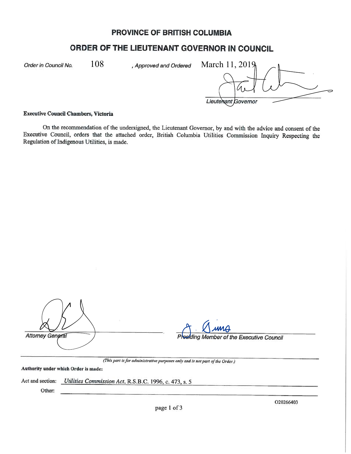## **PROVINCE OF BRITISH COLUMBIA**

# **ORDER OF THE LIEUTENANT GOVERNOR IN COUNCIL**

Order in Council No.  $108$ , Approved and Ordered

108 , Approved and Ordered March 11, 2019 Lieutenant Governor

### **Executive Council Chambers, Victoria**

On the recommendation of the undersigned, the Lieutenant Governor, by and with the advice and consent of the Executive Council, orders that the attached order, British Columbia Utilities Commission Inquiry Respecting the Regulation of Indigenous Utilities, is made.

| <b>Attorney General</b> |  |
|-------------------------|--|

ding Member of the Executive Council

*(This part is for administrative purposes on(v and is not part of the Order.)* 

**Authority under which Order is made:** 

Act and section: *Utilities Commission Act,* R.S.B.C. 1996, c. 473, s. *<sup>5</sup>*

Other:

page 1 of 3

020266403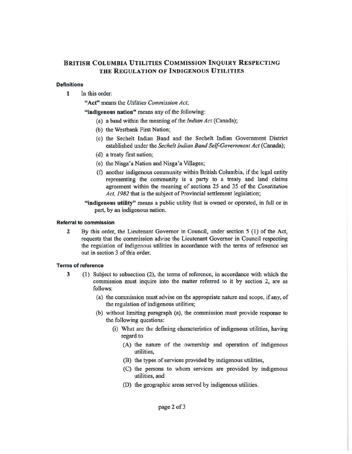### **BRITISH COLUMBIA UTILITIES COMMISSION INQUIRY RESPECTING THE REGULATION OF INDIGENOUS UTILITIES**

#### **Definitions**

**1** In this order:

**"Act"** means the *Utilities Commission Act;* 

**"indigenous nation"** means any of the following:

- (a) a band within the meaning of the *Indian Act* (Canada);
- (b) the Westbank First Nation;
- ( c) the Sechelt Indian Band and the Sechelt Indian Government District established under the *Sechelt Indian Band Self-Government Act* (Canada);
- (d) a treaty first nation;
- (e) the Nisga'a Nation and Nisga'a Villages;
- (f) another indigenous community within British Columbia, if the legal entity representing the community is a party to a treaty and land claims agreement within the meaning of sections 25 and 35 of the *Constitution Act, 1982* that is the subject of Provincial settlement legislation;
- **"indigenous utility"** means a public utility that is owned or operated, in full or in part, by an indigenous nation.

#### **Referral to commission**

**2** By this order, the Lieutenant Governor in Council, under section 5 ( **1)** of the Act, requests that the commission advise the Lieutenant Governor in Council respecting the regulation of indigenous utilities in accordance with the terms of reference set out in section 3 of this order.

### **Terms of reference**

- 3 (l) Subject to subsection (2), the terms of reference, **in** accordance with which the commission must inquire into the matter referred to it by section 2, are as follows:
	- (a) the commission must advise on the appropriate nature and scope, if any, of the regulation of indigenous utilities;
	- (b) without limiting paragraph (a), the commission must provide response to the following questions:
		- (i) What are the defining characteristics of indigenous utilities, having regard to
			- (A) the nature of the ownership and operation of indigenous utilities,
			- (B) the types of services provided by indigenous utilities,
			- (C) the persons to whom services are provided by indigenous utilities, and
			- (D) the geographic areas served by indigenous utilities.